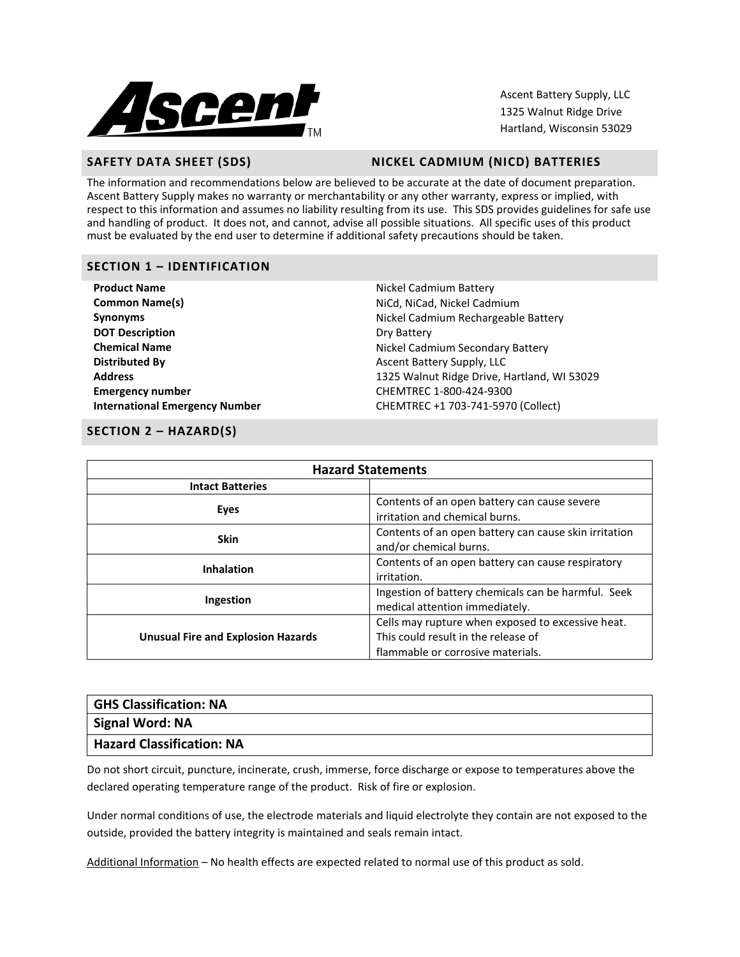

Ascent Battery Supply, LLC 1325 Walnut Ridge Drive Hartland, Wisconsin 53029

# SAFETY DATA SHEET (SDS) NICKEL CADMIUM (NICD) BATTERIES

The information and recommendations below are believed to be accurate at the date of document preparation. Ascent Battery Supply makes no warranty or merchantability or any other warranty, express or implied, with respect to this information and assumes no liability resulting from its use. This SDS provides guidelines for safe use and handling of product. It does not, and cannot, advise all possible situations. All specific uses of this product must be evaluated by the end user to determine if additional safety precautions should be taken.

# **SECTION 1 – IDENTIFICATION**

| <b>Product Name</b>                   | Nickel Cadmium Battery                      |
|---------------------------------------|---------------------------------------------|
| <b>Common Name(s)</b>                 | NiCd, NiCad, Nickel Cadmium                 |
| <b>Synonyms</b>                       | Nickel Cadmium Rechargeable Battery         |
| <b>DOT Description</b>                | Dry Battery                                 |
| <b>Chemical Name</b>                  | Nickel Cadmium Secondary Battery            |
| <b>Distributed By</b>                 | Ascent Battery Supply, LLC                  |
| <b>Address</b>                        | 1325 Walnut Ridge Drive, Hartland, WI 53029 |
| <b>Emergency number</b>               | CHEMTREC 1-800-424-9300                     |
| <b>International Emergency Number</b> | CHEMTREC +1 703-741-5970 (Collect)          |

# **SECTION 2 – HAZARD(S)**

| <b>Hazard Statements</b>                  |                                                                                                                               |  |
|-------------------------------------------|-------------------------------------------------------------------------------------------------------------------------------|--|
| <b>Intact Batteries</b>                   |                                                                                                                               |  |
| Eyes                                      | Contents of an open battery can cause severe<br>irritation and chemical burns.                                                |  |
| <b>Skin</b>                               | Contents of an open battery can cause skin irritation<br>and/or chemical burns.                                               |  |
| <b>Inhalation</b>                         | Contents of an open battery can cause respiratory<br>irritation.                                                              |  |
| Ingestion                                 | Ingestion of battery chemicals can be harmful. Seek<br>medical attention immediately.                                         |  |
| <b>Unusual Fire and Explosion Hazards</b> | Cells may rupture when exposed to excessive heat.<br>This could result in the release of<br>flammable or corrosive materials. |  |

| <b>GHS Classification: NA</b>    |  |
|----------------------------------|--|
| Signal Word: NA                  |  |
| <b>Hazard Classification: NA</b> |  |

Do not short circuit, puncture, incinerate, crush, immerse, force discharge or expose to temperatures above the declared operating temperature range of the product. Risk of fire or explosion.

Under normal conditions of use, the electrode materials and liquid electrolyte they contain are not exposed to the outside, provided the battery integrity is maintained and seals remain intact.

Additional Information – No health effects are expected related to normal use of this product as sold.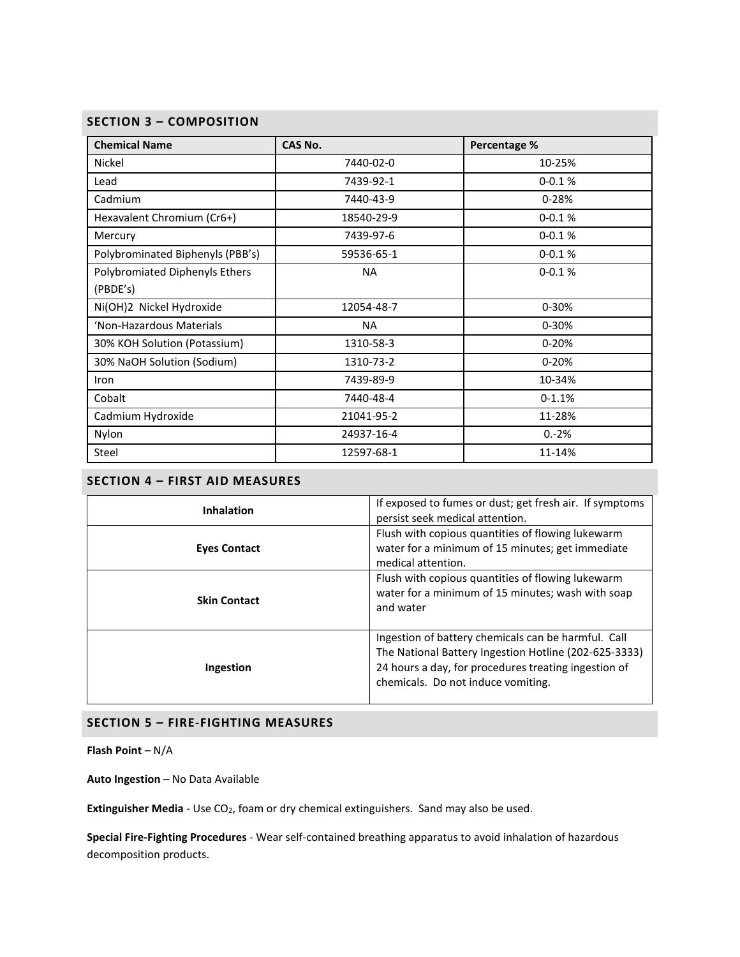# **SECTION 3 – COMPOSITION**

| <b>Chemical Name</b>                       | <b>CAS No.</b> | Percentage % |
|--------------------------------------------|----------------|--------------|
| Nickel                                     | 7440-02-0      | 10-25%       |
| Lead                                       | 7439-92-1      | $0 - 0.1 %$  |
| Cadmium                                    | 7440-43-9      | $0 - 28%$    |
| Hexavalent Chromium (Cr6+)                 | 18540-29-9     | $0 - 0.1 %$  |
| Mercury                                    | 7439-97-6      | $0 - 0.1 %$  |
| Polybrominated Biphenyls (PBB's)           | 59536-65-1     | $0 - 0.1 %$  |
| Polybromiated Diphenyls Ethers<br>(PBDE's) | <b>NA</b>      | $0 - 0.1 %$  |
| Ni(OH)2 Nickel Hydroxide                   | 12054-48-7     | $0 - 30%$    |
| 'Non-Hazardous Materials                   | <b>NA</b>      | 0-30%        |
| 30% KOH Solution (Potassium)               | 1310-58-3      | $0 - 20%$    |
| 30% NaOH Solution (Sodium)                 | 1310-73-2      | $0 - 20%$    |
| Iron                                       | 7439-89-9      | 10-34%       |
| Cobalt                                     | 7440-48-4      | $0-1.1%$     |
| Cadmium Hydroxide                          | 21041-95-2     | 11-28%       |
| Nylon                                      | 24937-16-4     | $0.-2%$      |
| Steel                                      | 12597-68-1     | 11-14%       |

# **SECTION 4 – FIRST AID MEASURES**

| <b>Inhalation</b>   | If exposed to fumes or dust; get fresh air. If symptoms<br>persist seek medical attention.                                                                                                                 |  |
|---------------------|------------------------------------------------------------------------------------------------------------------------------------------------------------------------------------------------------------|--|
| <b>Eyes Contact</b> | Flush with copious quantities of flowing lukewarm<br>water for a minimum of 15 minutes; get immediate<br>medical attention.                                                                                |  |
| <b>Skin Contact</b> | Flush with copious quantities of flowing lukewarm<br>water for a minimum of 15 minutes; wash with soap<br>and water                                                                                        |  |
| Ingestion           | Ingestion of battery chemicals can be harmful. Call<br>The National Battery Ingestion Hotline (202-625-3333)<br>24 hours a day, for procedures treating ingestion of<br>chemicals. Do not induce vomiting. |  |

## **SECTION 5 – FIRE-FIGHTING MEASURES**

**Flash Point** – N/A

**Auto Ingestion** – No Data Available

Extinguisher Media - Use CO<sub>2</sub>, foam or dry chemical extinguishers. Sand may also be used.

**Special Fire-Fighting Procedures** - Wear self-contained breathing apparatus to avoid inhalation of hazardous decomposition products.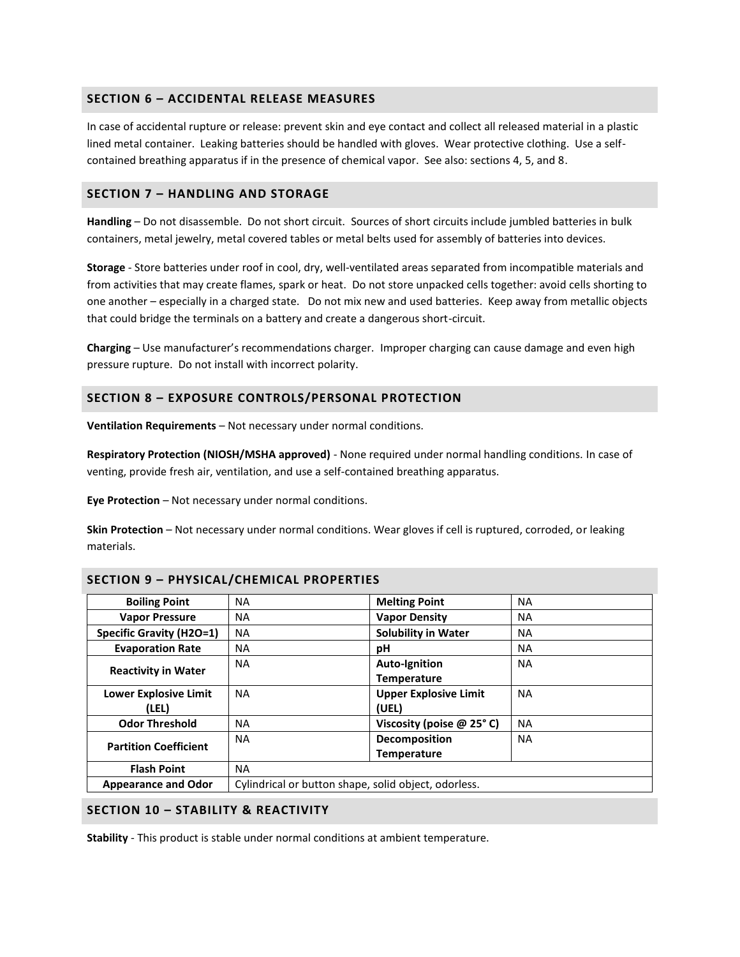# **SECTION 6 – ACCIDENTAL RELEASE MEASURES**

In case of accidental rupture or release: prevent skin and eye contact and collect all released material in a plastic lined metal container. Leaking batteries should be handled with gloves. Wear protective clothing. Use a selfcontained breathing apparatus if in the presence of chemical vapor. See also: sections 4, 5, and 8.

## **SECTION 7 – HANDLING AND STORAGE**

**Handling** – Do not disassemble. Do not short circuit. Sources of short circuits include jumbled batteries in bulk containers, metal jewelry, metal covered tables or metal belts used for assembly of batteries into devices.

**Storage** - Store batteries under roof in cool, dry, well-ventilated areas separated from incompatible materials and from activities that may create flames, spark or heat. Do not store unpacked cells together: avoid cells shorting to one another – especially in a charged state. Do not mix new and used batteries. Keep away from metallic objects that could bridge the terminals on a battery and create a dangerous short-circuit.

**Charging** – Use manufacturer's recommendations charger. Improper charging can cause damage and even high pressure rupture. Do not install with incorrect polarity.

## **SECTION 8 – EXPOSURE CONTROLS/PERSONAL PROTECTION**

**Ventilation Requirements** – Not necessary under normal conditions.

**Respiratory Protection (NIOSH/MSHA approved)** - None required under normal handling conditions. In case of venting, provide fresh air, ventilation, and use a self-contained breathing apparatus.

**Eye Protection** – Not necessary under normal conditions.

**Skin Protection** – Not necessary under normal conditions. Wear gloves if cell is ruptured, corroded, or leaking materials.

| <b>Boiling Point</b>            | NA                                                   | <b>Melting Point</b>           | <b>NA</b> |
|---------------------------------|------------------------------------------------------|--------------------------------|-----------|
| <b>Vapor Pressure</b>           | NA                                                   | <b>Vapor Density</b>           | <b>NA</b> |
| <b>Specific Gravity (H2O=1)</b> | <b>NA</b>                                            | <b>Solubility in Water</b>     | ΝA        |
| <b>Evaporation Rate</b>         | <b>NA</b>                                            | рH                             | ΝA        |
| <b>Reactivity in Water</b>      | <b>NA</b>                                            | <b>Auto-Ignition</b>           | <b>NA</b> |
|                                 |                                                      | <b>Temperature</b>             |           |
| <b>Lower Explosive Limit</b>    | <b>NA</b>                                            | <b>Upper Explosive Limit</b>   | <b>NA</b> |
| (LEL)                           |                                                      | (UEL)                          |           |
| <b>Odor Threshold</b>           | <b>NA</b>                                            | Viscosity (poise $@$ 25 $°$ C) | <b>NA</b> |
| <b>Partition Coefficient</b>    | <b>NA</b>                                            | <b>Decomposition</b>           | <b>NA</b> |
|                                 |                                                      | <b>Temperature</b>             |           |
| <b>Flash Point</b>              | NA.                                                  |                                |           |
| <b>Appearance and Odor</b>      | Cylindrical or button shape, solid object, odorless. |                                |           |

# **SECTION 9 – PHYSICAL/CHEMICAL PROPERTIES**

#### **SECTION 10 – STABILITY & REACTIVITY**

**Stability** - This product is stable under normal conditions at ambient temperature.